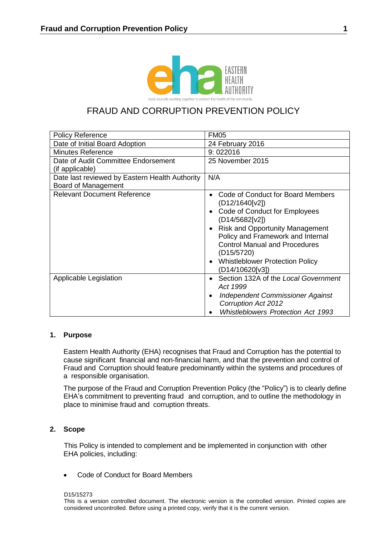

# FRAUD AND CORRUPTION PREVENTION POLICY

| <b>Policy Reference</b>                                               | <b>FM05</b>                                                                                                                                                                                                                                                                                                                        |
|-----------------------------------------------------------------------|------------------------------------------------------------------------------------------------------------------------------------------------------------------------------------------------------------------------------------------------------------------------------------------------------------------------------------|
| Date of Initial Board Adoption                                        | 24 February 2016                                                                                                                                                                                                                                                                                                                   |
| <b>Minutes Reference</b>                                              | 9:022016                                                                                                                                                                                                                                                                                                                           |
| Date of Audit Committee Endorsement<br>(if applicable)                | 25 November 2015                                                                                                                                                                                                                                                                                                                   |
| Date last reviewed by Eastern Health Authority<br>Board of Management | N/A                                                                                                                                                                                                                                                                                                                                |
| <b>Relevant Document Reference</b>                                    | Code of Conduct for Board Members<br>(D12/1640[v2])<br>Code of Conduct for Employees<br>(D14/5682[v2])<br><b>Risk and Opportunity Management</b><br>$\bullet$<br>Policy and Framework and Internal<br><b>Control Manual and Procedures</b><br>(D <sub>15</sub> /5720)<br><b>Whistleblower Protection Policy</b><br>(D14/10620[v3]) |
| Applicable Legislation                                                | Section 132A of the Local Government<br>Act 1999<br><b>Independent Commissioner Against</b><br>$\bullet$<br><b>Corruption Act 2012</b><br><b>Whistleblowers Protection Act 1993</b>                                                                                                                                                |

# **1. Purpose**

Eastern Health Authority (EHA) recognises that Fraud and Corruption has the potential to cause significant financial and non-financial harm, and that the prevention and control of Fraud and Corruption should feature predominantly within the systems and procedures of a responsible organisation.

The purpose of the Fraud and Corruption Prevention Policy (the "Policy") is to clearly define EHA's commitment to preventing fraud and corruption, and to outline the methodology in place to minimise fraud and corruption threats.

# **2. Scope**

This Policy is intended to complement and be implemented in conjunction with other EHA policies, including:

• Code of Conduct for Board Members

#### D15/15273

This is a version controlled document. The electronic version is the controlled version. Printed copies are considered uncontrolled. Before using a printed copy, verify that it is the current version.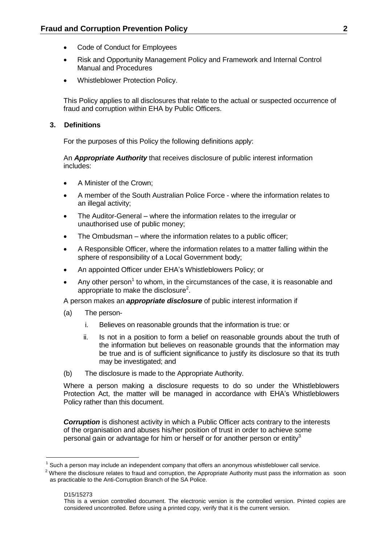- Code of Conduct for Employees
- Risk and Opportunity Management Policy and Framework and Internal Control Manual and Procedures
- Whistleblower Protection Policy.

This Policy applies to all disclosures that relate to the actual or suspected occurrence of fraud and corruption within EHA by Public Officers.

# **3. Definitions**

For the purposes of this Policy the following definitions apply:

An *Appropriate Authority* that receives disclosure of public interest information includes:

- A Minister of the Crown;
- A member of the South Australian Police Force where the information relates to an illegal activity;
- The Auditor-General where the information relates to the irregular or unauthorised use of public money;
- The Ombudsman where the information relates to a public officer;
- A Responsible Officer, where the information relates to a matter falling within the sphere of responsibility of a Local Government body;
- An appointed Officer under EHA's Whistleblowers Policy; or
- Any other person<sup>1</sup> to whom, in the circumstances of the case, it is reasonable and appropriate to make the disclosure<sup>2</sup>.

A person makes an *appropriate disclosure* of public interest information if

- (a) The person
	- i. Believes on reasonable grounds that the information is true: or
	- ii. Is not in a position to form a belief on reasonable grounds about the truth of the information but believes on reasonable grounds that the information may be true and is of sufficient significance to justify its disclosure so that its truth may be investigated; and
- (b) The disclosure is made to the Appropriate Authority.

Where a person making a disclosure requests to do so under the Whistleblowers Protection Act, the matter will be managed in accordance with EHA's Whistleblowers Policy rather than this document.

*Corruption* is dishonest activity in which a Public Officer acts contrary to the interests of the organisation and abuses his/her position of trust in order to achieve some personal gain or advantage for him or herself or for another person or entity<sup>3</sup>

 $<sup>1</sup>$  Such a person may include an independent company that offers an anonymous whistleblower call service.</sup>

 $2$  Where the disclosure relates to fraud and corruption, the Appropriate Authority must pass the information as soon as practicable to the Anti-Corruption Branch of the SA Police.

This is a version controlled document. The electronic version is the controlled version. Printed copies are considered uncontrolled. Before using a printed copy, verify that it is the current version.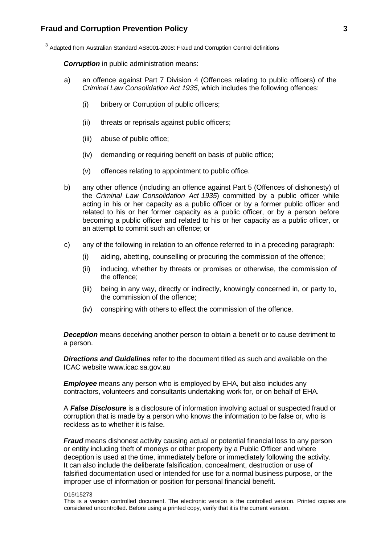<sup>3</sup> Adapted from Australian Standard AS8001-2008: Fraud and Corruption Control definitions

**Corruption** in public administration means:

- a) an offence against Part 7 Division 4 (Offences relating to public officers) of the *Criminal Law Consolidation Act 1935*, which includes the following offences:
	- (i) bribery or Corruption of public officers;
	- (ii) threats or reprisals against public officers;
	- (iii) abuse of public office;
	- (iv) demanding or requiring benefit on basis of public office;
	- (v) offences relating to appointment to public office.
- b) any other offence (including an offence against Part 5 (Offences of dishonesty) of the *Criminal Law [Consolidation](http://www.legislation.sa.gov.au/index.aspx?action=legref&type=act&legtitle=Criminal%20Law%20Consolidation%20Act%201935) Act 1935*) committed by a public officer while acting in his or her capacity as a public officer or by a former public officer and related to his or her former capacity as a public officer, or by a person before becoming a public officer and related to his or her capacity as a public officer, or an attempt to commit such an offence; or
- c) any of the following in relation to an offence referred to in a preceding paragraph:
	- (i) aiding, abetting, counselling or procuring the commission of the offence;
	- (ii) inducing, whether by threats or promises or otherwise, the commission of the offence;
	- (iii) being in any way, directly or indirectly, knowingly concerned in, or party to, the commission of the offence;
	- (iv) conspiring with others to effect the commission of the offence.

*Deception* means deceiving another person to obtain a benefit or to cause detriment to a person.

*Directions and Guidelines* refer to the document titled as such and available on the ICAC website [www.icac.sa.gov.au](http://www.icac.sa.gov.au/)

*Employee* means any person who is employed by EHA, but also includes any contractors, volunteers and consultants undertaking work for, or on behalf of EHA.

A *False Disclosure* is a disclosure of information involving actual or suspected fraud or corruption that is made by a person who knows the information to be false or, who is reckless as to whether it is false.

*Fraud* means dishonest activity causing actual or potential financial loss to any person or entity including theft of moneys or other property by a Public Officer and where deception is used at the time, immediately before or immediately following the activity. It can also include the deliberate falsification, concealment, destruction or use of falsified documentation used or intended for use for a normal business purpose, or the improper use of information or position for personal financial benefit.

#### D15/15273

This is a version controlled document. The electronic version is the controlled version. Printed copies are considered uncontrolled. Before using a printed copy, verify that it is the current version.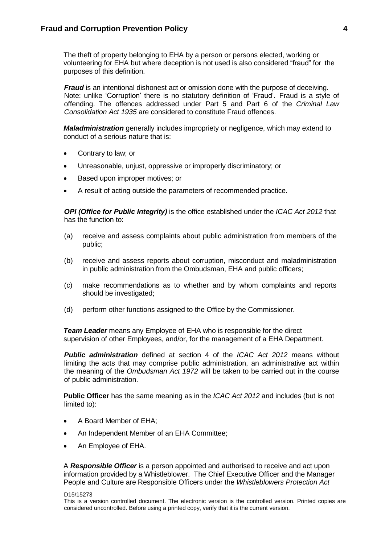The theft of property belonging to EHA by a person or persons elected, working or volunteering for EHA but where deception is not used is also considered "fraud" for the purposes of this definition.

*Fraud* is an intentional dishonest act or omission done with the purpose of deceiving. Note: unlike 'Corruption' there is no statutory definition of 'Fraud'. Fraud is a style of offending. The offences addressed under Part 5 and Part 6 of the *Criminal Law Consolidation Act 1935* are considered to constitute Fraud offences.

*Maladministration* generally includes impropriety or negligence, which may extend to conduct of a serious nature that is:

- Contrary to law; or
- Unreasonable, unjust, oppressive or improperly discriminatory; or
- Based upon improper motives; or
- A result of acting outside the parameters of recommended practice.

*OPI (Office for Public Integrity)* is the office established under the *ICAC Act 2012* that has the function to:

- (a) receive and assess complaints about public administration from members of the public;
- (b) receive and assess reports about corruption, misconduct and maladministration in public administration from the Ombudsman, EHA and public officers;
- (c) make recommendations as to whether and by whom complaints and reports should be investigated;
- (d) perform other functions assigned to the Office by the Commissioner.

*Team Leader* means any Employee of EHA who is responsible for the direct supervision of other Employees, and/or, for the management of a EHA Department.

*Public administration* defined at section 4 of the *ICAC Act 2012* means without limiting the acts that may comprise public administration, an administrative act within the meaning of the *Ombudsman Act 1972* will be taken to be carried out in the course of public administration.

**Public Officer** has the same meaning as in the *ICAC Act 2012* and includes (but is not limited to):

- A Board Member of EHA;
- An Independent Member of an EHA Committee;
- An Employee of EHA.

A *Responsible Officer* is a person appointed and authorised to receive and act upon information provided by a Whistleblower. The Chief Executive Officer and the Manager People and Culture are Responsible Officers under the *Whistleblowers Protection Act*

#### D15/15273

This is a version controlled document. The electronic version is the controlled version. Printed copies are considered uncontrolled. Before using a printed copy, verify that it is the current version.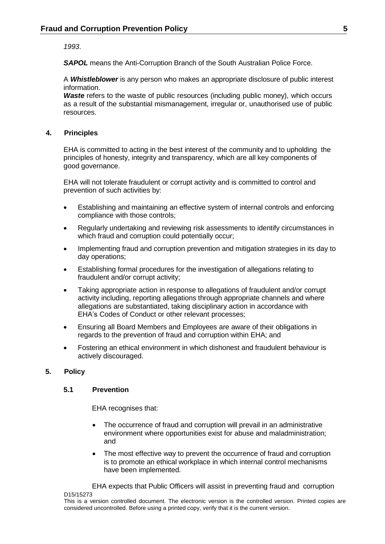*1993*.

*SAPOL* means the Anti-Corruption Branch of the South Australian Police Force.

A *Whistleblower* is any person who makes an appropriate disclosure of public interest information.

**Waste** refers to the waste of public resources (including public money), which occurs as a result of the substantial mismanagement, irregular or, unauthorised use of public resources.

# **4. Principles**

EHA is committed to acting in the best interest of the community and to upholding the principles of honesty, integrity and transparency, which are all key components of good governance.

EHA will not tolerate fraudulent or corrupt activity and is committed to control and prevention of such activities by:

- Establishing and maintaining an effective system of internal controls and enforcing compliance with those controls;
- Regularly undertaking and reviewing risk assessments to identify circumstances in which fraud and corruption could potentially occur;
- Implementing fraud and corruption prevention and mitigation strategies in its day to day operations;
- Establishing formal procedures for the investigation of allegations relating to fraudulent and/or corrupt activity;
- Taking appropriate action in response to allegations of fraudulent and/or corrupt activity including, reporting allegations through appropriate channels and where allegations are substantiated, taking disciplinary action in accordance with EHA's Codes of Conduct or other relevant processes;
- Ensuring all Board Members and Employees are aware of their obligations in regards to the prevention of fraud and corruption within EHA; and
- Fostering an ethical environment in which dishonest and fraudulent behaviour is actively discouraged.

# **5. Policy**

# **5.1 Prevention**

EHA recognises that:

- The occurrence of fraud and corruption will prevail in an administrative environment where opportunities exist for abuse and maladministration; and
- The most effective way to prevent the occurrence of fraud and corruption is to promote an ethical workplace in which internal control mechanisms have been implemented.

D15/15273 EHA expects that Public Officers will assist in preventing fraud and corruption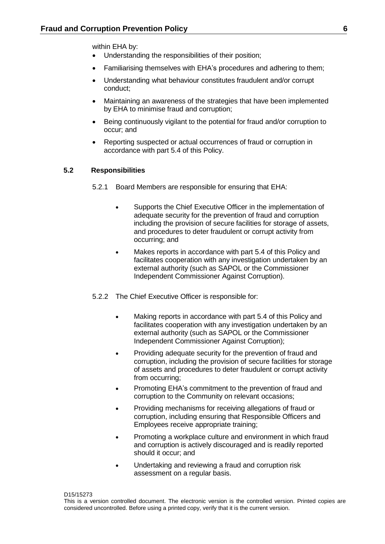within EHA by:

- Understanding the responsibilities of their position;
- Familiarising themselves with EHA's procedures and adhering to them;
- Understanding what behaviour constitutes fraudulent and/or corrupt conduct;
- Maintaining an awareness of the strategies that have been implemented by EHA to minimise fraud and corruption;
- Being continuously vigilant to the potential for fraud and/or corruption to occur; and
- Reporting suspected or actual occurrences of fraud or corruption in accordance with part 5.4 of this Policy.

# **5.2 Responsibilities**

- 5.2.1 Board Members are responsible for ensuring that EHA:
	- Supports the Chief Executive Officer in the implementation of adequate security for the prevention of fraud and corruption including the provision of secure facilities for storage of assets, and procedures to deter fraudulent or corrupt activity from occurring; and
	- Makes reports in accordance with part 5.4 of this Policy and facilitates cooperation with any investigation undertaken by an external authority (such as SAPOL or the Commissioner Independent Commissioner Against Corruption).
- 5.2.2 The Chief Executive Officer is responsible for:
	- Making reports in accordance with part 5.4 of this Policy and facilitates cooperation with any investigation undertaken by an external authority (such as SAPOL or the Commissioner Independent Commissioner Against Corruption);
	- Providing adequate security for the prevention of fraud and corruption, including the provision of secure facilities for storage of assets and procedures to deter fraudulent or corrupt activity from occurring;
	- Promoting EHA's commitment to the prevention of fraud and corruption to the Community on relevant occasions;
	- Providing mechanisms for receiving allegations of fraud or corruption, including ensuring that Responsible Officers and Employees receive appropriate training;
	- Promoting a workplace culture and environment in which fraud and corruption is actively discouraged and is readily reported should it occur; and
	- Undertaking and reviewing a fraud and corruption risk assessment on a regular basis.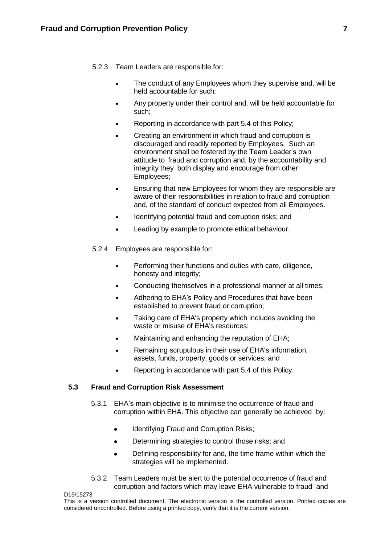- 5.2.3 Team Leaders are responsible for:
	- The conduct of any Employees whom they supervise and, will be held accountable for such;
	- Any property under their control and, will be held accountable for such;
	- Reporting in accordance with part 5.4 of this Policy;
	- Creating an environment in which fraud and corruption is discouraged and readily reported by Employees. Such an environment shall be fostered by the Team Leader's own attitude to fraud and corruption and, by the accountability and integrity they both display and encourage from other Employees;
	- Ensuring that new Employees for whom they are responsible are aware of their responsibilities in relation to fraud and corruption and, of the standard of conduct expected from all Employees.
	- Identifying potential fraud and corruption risks; and
	- Leading by example to promote ethical behaviour.
- 5.2.4 Employees are responsible for:
	- Performing their functions and duties with care, diligence, honesty and integrity;
	- Conducting themselves in a professional manner at all times;
	- Adhering to EHA's Policy and Procedures that have been established to prevent fraud or corruption;
	- Taking care of EHA's property which includes avoiding the waste or misuse of EHA's resources;
	- Maintaining and enhancing the reputation of EHA;
	- Remaining scrupulous in their use of EHA's information, assets, funds, property, goods or services; and
	- Reporting in accordance with part 5.4 of this Policy.

# **5.3 Fraud and Corruption Risk Assessment**

- 5.3.1 EHA's main objective is to minimise the occurrence of fraud and corruption within EHA. This objective can generally be achieved by:
	- Identifying Fraud and Corruption Risks;
	- Determining strategies to control those risks; and
	- Defining responsibility for and, the time frame within which the strategies will be implemented.
- 5.3.2 Team Leaders must be alert to the potential occurrence of fraud and corruption and factors which may leave EHA vulnerable to fraud and

D15/15273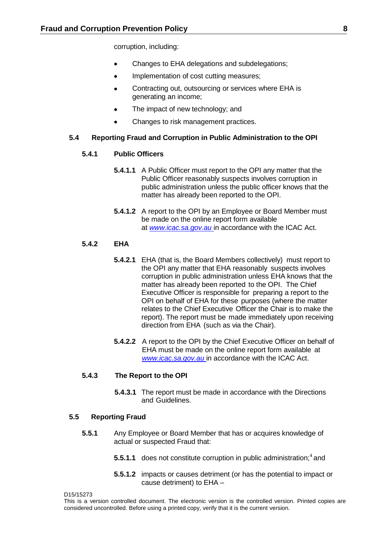corruption, including:

- Changes to EHA delegations and subdelegations:
- Implementation of cost cutting measures;
- Contracting out, outsourcing or services where EHA is generating an income;
- The impact of new technology; and
- Changes to risk management practices.

#### **5.4 Reporting Fraud and Corruption in Public Administration to the OPI**

### **5.4.1 Public Officers**

- **5.4.1.1** A Public Officer must report to the OPI any matter that the Public Officer reasonably suspects involves corruption in public administration unless the public officer knows that the matter has already been reported to the OPI.
- **5.4.1.2** A report to the OPI by an Employee or Board Member must be made on the online report form available at *[www.icac.sa.gov.au](http://www.icac.sa.gov.au/)* in accordance with the ICAC Act.

### **5.4.2 EHA**

- **5.4.2.1** EHA (that is, the Board Members collectively) must report to the OPI any matter that EHA reasonably suspects involves corruption in public administration unless EHA knows that the matter has already been reported to the OPI. The Chief Executive Officer is responsible for preparing a report to the OPI on behalf of EHA for these purposes (where the matter relates to the Chief Executive Officer the Chair is to make the report). The report must be made immediately upon receiving direction from EHA (such as via the Chair).
- **5.4.2.2** A report to the OPI by the Chief Executive Officer on behalf of EHA must be made on the online report form available at *[www.icac.sa.gov.au](http://www.icac.sa.gov.au/)* in accordance with the ICAC Act.

#### **5.4.3 The Report to the OPI**

**5.4.3.1** The report must be made in accordance with the Directions and Guidelines.

# **5.5 Reporting Fraud**

- **5.5.1** Any Employee or Board Member that has or acquires knowledge of actual or suspected Fraud that:
	- **5.5.1.1** does not constitute corruption in public administration;<sup>4</sup> and
	- **5.5.1.2** impacts or causes detriment (or has the potential to impact or cause detriment) to EHA –

D15/15273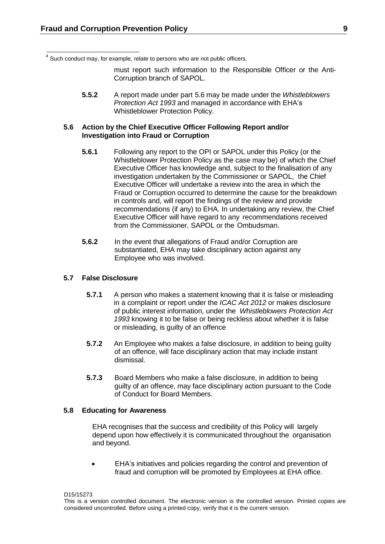$<sup>4</sup>$  Such conduct may, for example, relate to persons who are not public officers,</sup>

must report such information to the Responsible Officer or the Anti-Corruption branch of SAPOL.

**5.5.2** A report made under part 5.6 may be made under the *Whistleblowers Protection Act 1993* and managed in accordance with EHA's Whistleblower Protection Policy.

### **5.6 Action by the Chief Executive Officer Following Report and/or Investigation into Fraud or Corruption**

- **5.6.1** Following any report to the OPI or SAPOL under this Policy (or the Whistleblower Protection Policy as the case may be) of which the Chief Executive Officer has knowledge and, subject to the finalisation of any investigation undertaken by the Commissioner or SAPOL, the Chief Executive Officer will undertake a review into the area in which the Fraud or Corruption occurred to determine the cause for the breakdown in controls and, will report the findings of the review and provide recommendations (if any) to EHA. In undertaking any review, the Chief Executive Officer will have regard to any recommendations received from the Commissioner, SAPOL or the Ombudsman.
- **5.6.2** In the event that allegations of Fraud and/or Corruption are substantiated, EHA may take disciplinary action against any Employee who was involved.

#### **5.7 False Disclosure**

- **5.7.1** A person who makes a statement knowing that it is false or misleading in a complaint or report under the *ICAC Act 2012* or makes disclosure of public interest information, under the *Whistleblowers Protection Act 1993* knowing it to be false or being reckless about whether it is false or misleading, is guilty of an offence
- **5.7.2** An Employee who makes a false disclosure, in addition to being guilty of an offence, will face disciplinary action that may include instant dismissal.
- **5.7.3** Board Members who make a false disclosure, in addition to being guilty of an offence, may face disciplinary action pursuant to the Code of Conduct for Board Members.

### **5.8 Educating for Awareness**

EHA recognises that the success and credibility of this Policy will largely depend upon how effectively it is communicated throughout the organisation and beyond.

• EHA's initiatives and policies regarding the control and prevention of fraud and corruption will be promoted by Employees at EHA office.